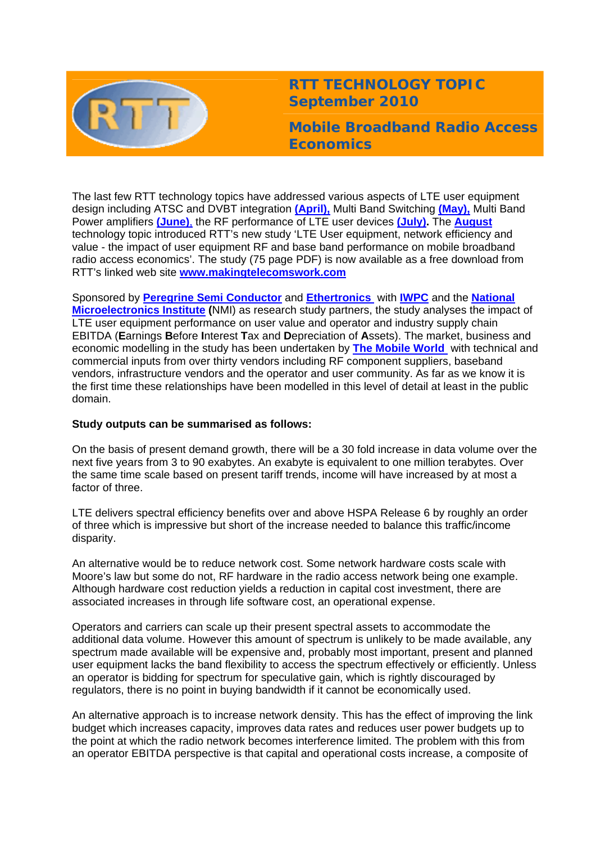

# **RTT TECHNOLOGY TOPIC September 2010**

**Mobile Broadband Radio Access Economics** 

The last few RTT technology topics have addressed various aspects of LTE user equipment design including ATSC and DVBT integration **[\(April\),](http://www.rttonline.com/tt/TT2010_004.pdf)** Multi Band Switching **[\(May\),](http://www.rttonline.com/tt/TT2010_005.pdf)** Multi Band Power amplifiers **[\(June\)](http://www.rttonline.com/tt/TT2010_006.pdf)**, the RF performance of LTE user devices **[\(July\).](http://www.rttonline.com/tt/TT2010_007.pdf)** The **[August](http://www.rttonline.com/tt/TT2010_008.pdf)** technology topic introduced RTT's new study 'LTE User equipment, network efficiency and value - the impact of user equipment RF and base band performance on mobile broadband radio access economics'. The study (75 page PDF) is now available as a free download from RTT's linked web site **[www.makingtelecomswork.com](http://www.makingtelecomswork.com/)**

Sponsored by **[Peregrine Semi Conductor](http://www.peregrine-semi.com/)** and **[Ethertronics](http://www.ethertronics.com/)** with **[IWPC](http://www.iwpc.org/)** and the **[National](http://www.nmi.org.uk/)  [Microelectronics Institute](http://www.nmi.org.uk/) (**NMI) as research study partners, the study analyses the impact of LTE user equipment performance on user value and operator and industry supply chain EBITDA (**E**arnings **B**efore **I**nterest **T**ax and **D**epreciation of **A**ssets). The market, business and economic modelling in the study has been undertaken by **[The Mobile World](http://www.themobileworld.com/)** with technical and commercial inputs from over thirty vendors including RF component suppliers, baseband vendors, infrastructure vendors and the operator and user community. As far as we know it is the first time these relationships have been modelled in this level of detail at least in the public domain.

# **Study outputs can be summarised as follows:**

On the basis of present demand growth, there will be a 30 fold increase in data volume over the next five years from 3 to 90 exabytes. An exabyte is equivalent to one million terabytes. Over the same time scale based on present tariff trends, income will have increased by at most a factor of three.

LTE delivers spectral efficiency benefits over and above HSPA Release 6 by roughly an order of three which is impressive but short of the increase needed to balance this traffic/income disparity.

An alternative would be to reduce network cost. Some network hardware costs scale with Moore's law but some do not, RF hardware in the radio access network being one example. Although hardware cost reduction yields a reduction in capital cost investment, there are associated increases in through life software cost, an operational expense.

Operators and carriers can scale up their present spectral assets to accommodate the additional data volume. However this amount of spectrum is unlikely to be made available, any spectrum made available will be expensive and, probably most important, present and planned user equipment lacks the band flexibility to access the spectrum effectively or efficiently. Unless an operator is bidding for spectrum for speculative gain, which is rightly discouraged by regulators, there is no point in buying bandwidth if it cannot be economically used.

An alternative approach is to increase network density. This has the effect of improving the link budget which increases capacity, improves data rates and reduces user power budgets up to the point at which the radio network becomes interference limited. The problem with this from an operator EBITDA perspective is that capital and operational costs increase, a composite of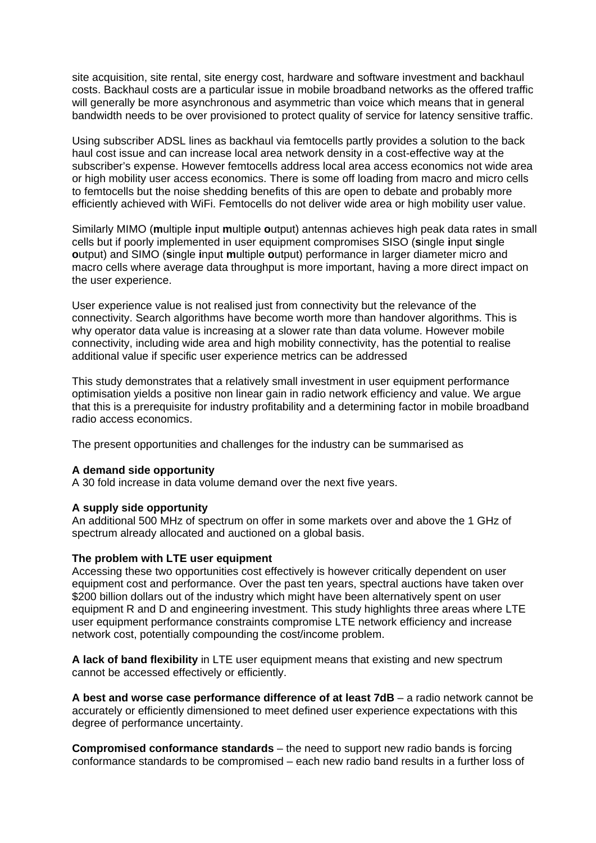site acquisition, site rental, site energy cost, hardware and software investment and backhaul costs. Backhaul costs are a particular issue in mobile broadband networks as the offered traffic will generally be more asynchronous and asymmetric than voice which means that in general bandwidth needs to be over provisioned to protect quality of service for latency sensitive traffic.

Using subscriber ADSL lines as backhaul via femtocells partly provides a solution to the back haul cost issue and can increase local area network density in a cost-effective way at the subscriber's expense. However femtocells address local area access economics not wide area or high mobility user access economics. There is some off loading from macro and micro cells to femtocells but the noise shedding benefits of this are open to debate and probably more efficiently achieved with WiFi. Femtocells do not deliver wide area or high mobility user value.

Similarly MIMO (**m**ultiple **i**nput **m**ultiple **o**utput) antennas achieves high peak data rates in small cells but if poorly implemented in user equipment compromises SISO (**s**ingle **i**nput **s**ingle **o**utput) and SIMO (**s**ingle **i**nput **m**ultiple **o**utput) performance in larger diameter micro and macro cells where average data throughput is more important, having a more direct impact on the user experience.

User experience value is not realised just from connectivity but the relevance of the connectivity. Search algorithms have become worth more than handover algorithms. This is why operator data value is increasing at a slower rate than data volume. However mobile connectivity, including wide area and high mobility connectivity, has the potential to realise additional value if specific user experience metrics can be addressed

This study demonstrates that a relatively small investment in user equipment performance optimisation yields a positive non linear gain in radio network efficiency and value. We argue that this is a prerequisite for industry profitability and a determining factor in mobile broadband radio access economics.

The present opportunities and challenges for the industry can be summarised as

# **A demand side opportunity**

A 30 fold increase in data volume demand over the next five years.

# **A supply side opportunity**

An additional 500 MHz of spectrum on offer in some markets over and above the 1 GHz of spectrum already allocated and auctioned on a global basis.

### **The problem with LTE user equipment**

Accessing these two opportunities cost effectively is however critically dependent on user equipment cost and performance. Over the past ten years, spectral auctions have taken over \$200 billion dollars out of the industry which might have been alternatively spent on user equipment R and D and engineering investment. This study highlights three areas where LTE user equipment performance constraints compromise LTE network efficiency and increase network cost, potentially compounding the cost/income problem.

**A lack of band flexibility** in LTE user equipment means that existing and new spectrum cannot be accessed effectively or efficiently.

**A best and worse case performance difference of at least 7dB** – a radio network cannot be accurately or efficiently dimensioned to meet defined user experience expectations with this degree of performance uncertainty.

**Compromised conformance standards** – the need to support new radio bands is forcing conformance standards to be compromised – each new radio band results in a further loss of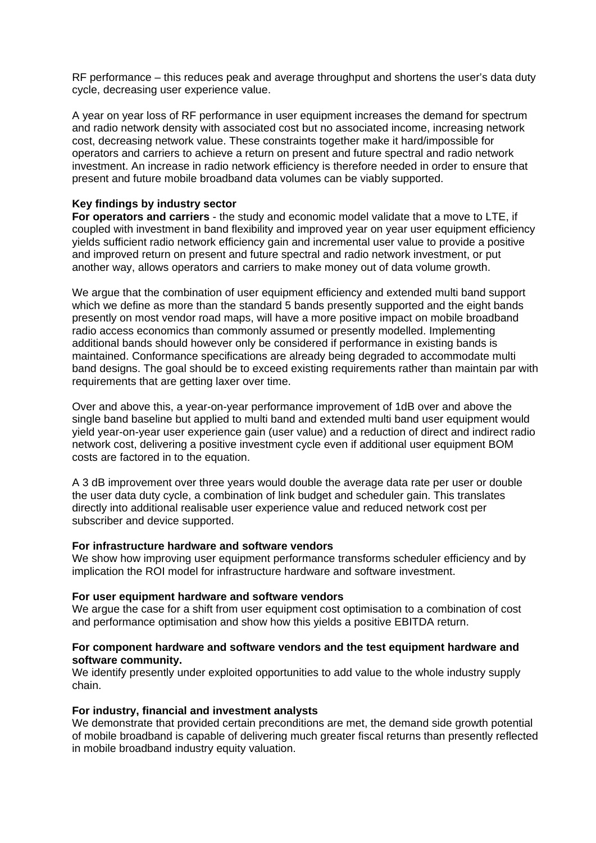RF performance – this reduces peak and average throughput and shortens the user's data duty cycle, decreasing user experience value.

A year on year loss of RF performance in user equipment increases the demand for spectrum and radio network density with associated cost but no associated income, increasing network cost, decreasing network value. These constraints together make it hard/impossible for operators and carriers to achieve a return on present and future spectral and radio network investment. An increase in radio network efficiency is therefore needed in order to ensure that present and future mobile broadband data volumes can be viably supported.

## **Key findings by industry sector**

**For operators and carriers** - the study and economic model validate that a move to LTE, if coupled with investment in band flexibility and improved year on year user equipment efficiency yields sufficient radio network efficiency gain and incremental user value to provide a positive and improved return on present and future spectral and radio network investment, or put another way, allows operators and carriers to make money out of data volume growth.

We argue that the combination of user equipment efficiency and extended multi band support which we define as more than the standard 5 bands presently supported and the eight bands presently on most vendor road maps, will have a more positive impact on mobile broadband radio access economics than commonly assumed or presently modelled. Implementing additional bands should however only be considered if performance in existing bands is maintained. Conformance specifications are already being degraded to accommodate multi band designs. The goal should be to exceed existing requirements rather than maintain par with requirements that are getting laxer over time.

Over and above this, a year-on-year performance improvement of 1dB over and above the single band baseline but applied to multi band and extended multi band user equipment would yield year-on-year user experience gain (user value) and a reduction of direct and indirect radio network cost, delivering a positive investment cycle even if additional user equipment BOM costs are factored in to the equation.

A 3 dB improvement over three years would double the average data rate per user or double the user data duty cycle, a combination of link budget and scheduler gain. This translates directly into additional realisable user experience value and reduced network cost per subscriber and device supported.

### **For infrastructure hardware and software vendors**

We show how improving user equipment performance transforms scheduler efficiency and by implication the ROI model for infrastructure hardware and software investment.

#### **For user equipment hardware and software vendors**

We argue the case for a shift from user equipment cost optimisation to a combination of cost and performance optimisation and show how this yields a positive EBITDA return.

### **For component hardware and software vendors and the test equipment hardware and software community.**

We identify presently under exploited opportunities to add value to the whole industry supply chain.

### **For industry, financial and investment analysts**

We demonstrate that provided certain preconditions are met, the demand side growth potential of mobile broadband is capable of delivering much greater fiscal returns than presently reflected in mobile broadband industry equity valuation.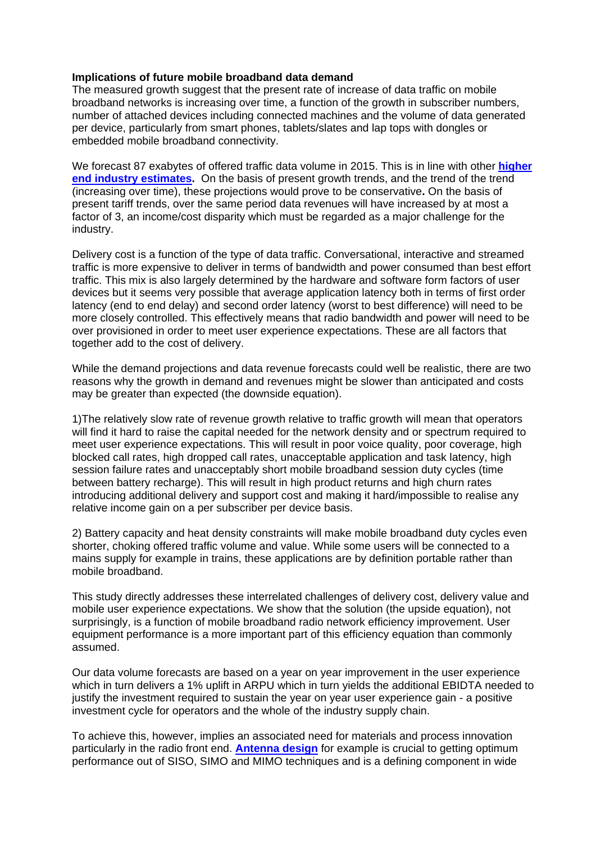### **Implications of future mobile broadband data demand**

The measured growth suggest that the present rate of increase of data traffic on mobile broadband networks is increasing over time, a function of the growth in subscriber numbers, number of attached devices including connected machines and the volume of data generated per device, particularly from smart phones, tablets/slates and lap tops with dongles or embedded mobile broadband connectivity.

We forecast 87 exabytes of offered traffic data volume in 2015. This is in line with other **[higher](http://www.cisco.com/en/US/solutions/collateral/ns341/ns525/ns537/ns705/ns827/white_paper_c11-520862.html)  [end industry estimates.](http://www.cisco.com/en/US/solutions/collateral/ns341/ns525/ns537/ns705/ns827/white_paper_c11-520862.html)** On the basis of present growth trends, and the trend of the trend (increasing over time), these projections would prove to be conservative**.** On the basis of present tariff trends, over the same period data revenues will have increased by at most a factor of 3, an income/cost disparity which must be regarded as a major challenge for the industry.

Delivery cost is a function of the type of data traffic. Conversational, interactive and streamed traffic is more expensive to deliver in terms of bandwidth and power consumed than best effort traffic. This mix is also largely determined by the hardware and software form factors of user devices but it seems very possible that average application latency both in terms of first order latency (end to end delay) and second order latency (worst to best difference) will need to be more closely controlled. This effectively means that radio bandwidth and power will need to be over provisioned in order to meet user experience expectations. These are all factors that together add to the cost of delivery.

While the demand projections and data revenue forecasts could well be realistic, there are two reasons why the growth in demand and revenues might be slower than anticipated and costs may be greater than expected (the downside equation).

1)The relatively slow rate of revenue growth relative to traffic growth will mean that operators will find it hard to raise the capital needed for the network density and or spectrum required to meet user experience expectations. This will result in poor voice quality, poor coverage, high blocked call rates, high dropped call rates, unacceptable application and task latency, high session failure rates and unacceptably short mobile broadband session duty cycles (time between battery recharge). This will result in high product returns and high churn rates introducing additional delivery and support cost and making it hard/impossible to realise any relative income gain on a per subscriber per device basis.

2) Battery capacity and heat density constraints will make mobile broadband duty cycles even shorter, choking offered traffic volume and value. While some users will be connected to a mains supply for example in trains, these applications are by definition portable rather than mobile broadband.

This study directly addresses these interrelated challenges of delivery cost, delivery value and mobile user experience expectations. We show that the solution (the upside equation), not surprisingly, is a function of mobile broadband radio network efficiency improvement. User equipment performance is a more important part of this efficiency equation than commonly assumed.

Our data volume forecasts are based on a year on year improvement in the user experience which in turn delivers a 1% uplift in ARPU which in turn yields the additional EBIDTA needed to justify the investment required to sustain the year on year user experience gain - a positive investment cycle for operators and the whole of the industry supply chain.

To achieve this, however, implies an associated need for materials and process innovation particularly in the radio front end. **[Antenna design](http://www.ethertronics.com/)** for example is crucial to getting optimum performance out of SISO, SIMO and MIMO techniques and is a defining component in wide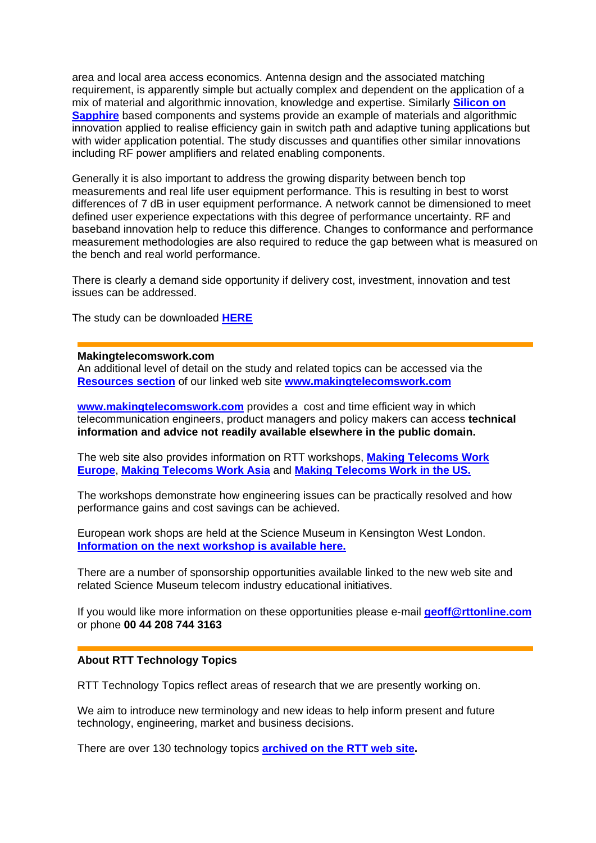area and local area access economics. Antenna design and the associated matching requirement, is apparently simple but actually complex and dependent on the application of a mix of material and algorithmic innovation, knowledge and expertise. Similarly **[Silicon on](http://www.peregrine-semi.com/)  [Sapphire](http://www.peregrine-semi.com/)** based components and systems provide an example of materials and algorithmic innovation applied to realise efficiency gain in switch path and adaptive tuning applications but with wider application potential. The study discusses and quantifies other similar innovations including RF power amplifiers and related enabling components.

Generally it is also important to address the growing disparity between bench top measurements and real life user equipment performance. This is resulting in best to worst differences of 7 dB in user equipment performance. A network cannot be dimensioned to meet defined user experience expectations with this degree of performance uncertainty. RF and baseband innovation help to reduce this difference. Changes to conformance and performance measurement methodologies are also required to reduce the gap between what is measured on the bench and real world performance.

There is clearly a demand side opportunity if delivery cost, investment, innovation and test issues can be addressed.

The study can be downloaded **[HERE](http://www.makingtelecomswork.com/index.html)**

#### **Makingtelecomswork.com**

An additional level of detail on the study and related topics can be accessed via the **[Resources section](http://www.makingtelecomswork.com/resources.html)** of our linked web site **[www.makingtelecomswork.com](http://www.makingtelecomswork.com/)**

**[www.makingtelecomswork.com](http://www.makingtelecomswork.com/)** provides a cost and time efficient way in which telecommunication engineers, product managers and policy makers can access **technical information and advice not readily available elsewhere in the public domain.** 

The web site also provides information on RTT workshops, **[Making Telecoms Work](http://www.makingtelecomswork.com/workshop_europe.html)  [Europe](http://www.makingtelecomswork.com/workshop_europe.html)**, **[Making Telecoms Work Asia](http://www.makingtelecomswork.com/workshop_asia.html)** and **[Making Telecoms Work in the US.](http://www.makingtelecomswork.com/workshop_usa.html)**

The workshops demonstrate how engineering issues can be practically resolved and how performance gains and cost savings can be achieved.

European work shops are held at the Science Museum in Kensington West London. **[Information on the next workshop is available here.](http://www.rttonline.com/documents/uhfbroadbanddesign.pdf)**

There are a number of sponsorship opportunities available linked to the new web site and related Science Museum telecom industry educational initiatives.

If you would like more information on these opportunities please e-mail **[geoff@rttonline.com](mailto:geoff@rttonline.com?subject=Sponsoring%20Making%20Telecoms%20Work)** or phone **00 44 208 744 3163** 

#### **About RTT Technology Topics**

RTT Technology Topics reflect areas of research that we are presently working on.

We aim to introduce new terminology and new ideas to help inform present and future technology, engineering, market and business decisions.

There are over 130 technology topics **[archived on the RTT web site](http://www.rttonline.com/sitemap.html).**